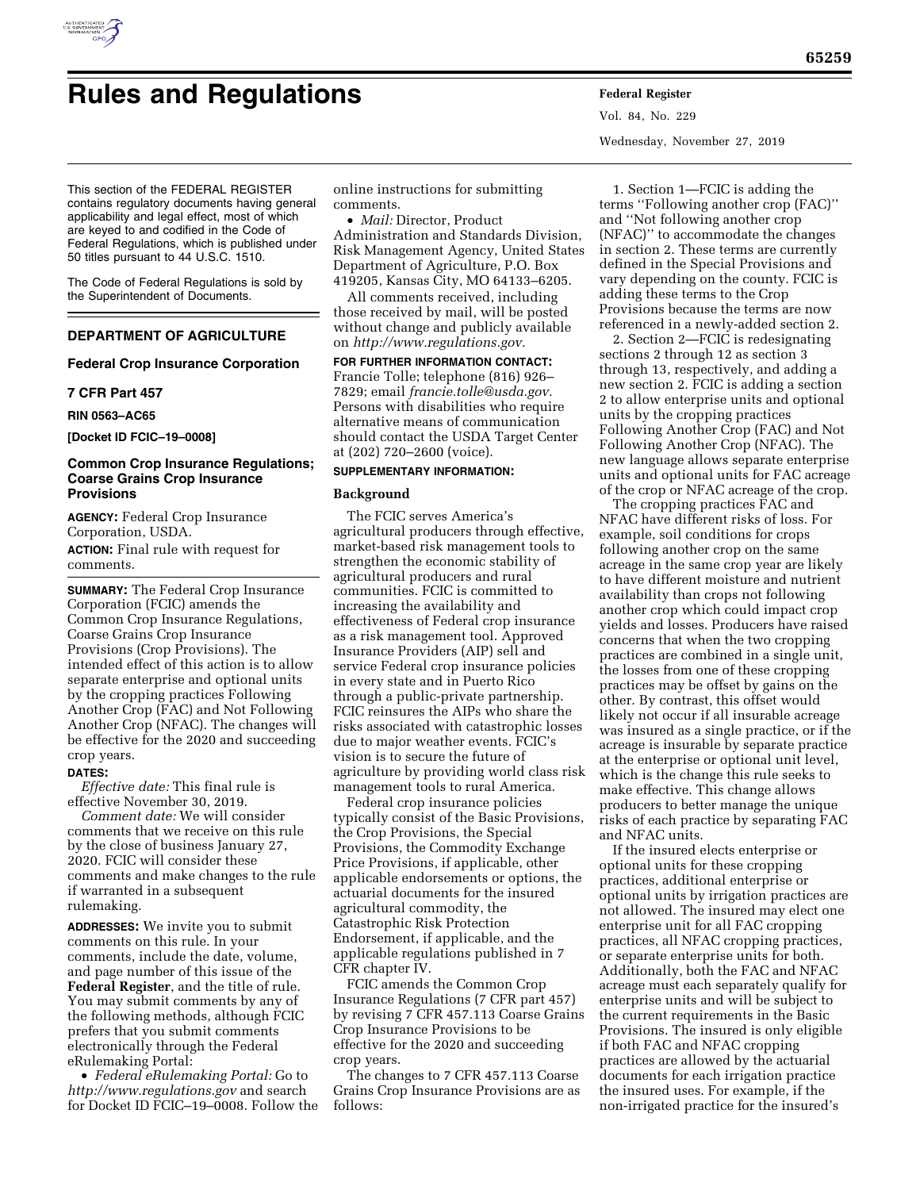

# **Rules and Regulations Federal Register**

Vol. 84, No. 229 Wednesday, November 27, 2019

This section of the FEDERAL REGISTER contains regulatory documents having general applicability and legal effect, most of which are keyed to and codified in the Code of Federal Regulations, which is published under 50 titles pursuant to 44 U.S.C. 1510.

The Code of Federal Regulations is sold by the Superintendent of Documents.

# **DEPARTMENT OF AGRICULTURE**

## **Federal Crop Insurance Corporation**

#### **7 CFR Part 457**

**RIN 0563–AC65** 

**[Docket ID FCIC–19–0008]** 

## **Common Crop Insurance Regulations; Coarse Grains Crop Insurance Provisions**

**AGENCY:** Federal Crop Insurance Corporation, USDA.

**ACTION:** Final rule with request for comments.

**SUMMARY:** The Federal Crop Insurance Corporation (FCIC) amends the Common Crop Insurance Regulations, Coarse Grains Crop Insurance Provisions (Crop Provisions). The intended effect of this action is to allow separate enterprise and optional units by the cropping practices Following Another Crop (FAC) and Not Following Another Crop (NFAC). The changes will be effective for the 2020 and succeeding crop years.

#### **DATES:**

*Effective date:* This final rule is effective November 30, 2019.

*Comment date:* We will consider comments that we receive on this rule by the close of business January 27, 2020. FCIC will consider these comments and make changes to the rule if warranted in a subsequent rulemaking.

**ADDRESSES:** We invite you to submit comments on this rule. In your comments, include the date, volume, and page number of this issue of the **Federal Register**, and the title of rule. You may submit comments by any of the following methods, although FCIC prefers that you submit comments electronically through the Federal eRulemaking Portal:

• *Federal eRulemaking Portal:* Go to *<http://www.regulations.gov>* and search for Docket ID FCIC–19–0008. Follow the

online instructions for submitting comments.

• *Mail:* Director, Product Administration and Standards Division, Risk Management Agency, United States Department of Agriculture, P.O. Box 419205, Kansas City, MO 64133–6205.

All comments received, including those received by mail, will be posted without change and publicly available on *[http://www.regulations.gov.](http://www.regulations.gov)* 

**FOR FURTHER INFORMATION CONTACT:**  Francie Tolle; telephone (816) 926– 7829; email *[francie.tolle@usda.gov.](mailto:francie.tolle@usda.gov)*  Persons with disabilities who require alternative means of communication should contact the USDA Target Center at (202) 720–2600 (voice).

# **SUPPLEMENTARY INFORMATION:**

#### **Background**

The FCIC serves America's agricultural producers through effective, market-based risk management tools to strengthen the economic stability of agricultural producers and rural communities. FCIC is committed to increasing the availability and effectiveness of Federal crop insurance as a risk management tool. Approved Insurance Providers (AIP) sell and service Federal crop insurance policies in every state and in Puerto Rico through a public-private partnership. FCIC reinsures the AIPs who share the risks associated with catastrophic losses due to major weather events. FCIC's vision is to secure the future of agriculture by providing world class risk management tools to rural America.

Federal crop insurance policies typically consist of the Basic Provisions, the Crop Provisions, the Special Provisions, the Commodity Exchange Price Provisions, if applicable, other applicable endorsements or options, the actuarial documents for the insured agricultural commodity, the Catastrophic Risk Protection Endorsement, if applicable, and the applicable regulations published in 7 CFR chapter IV.

FCIC amends the Common Crop Insurance Regulations (7 CFR part 457) by revising 7 CFR 457.113 Coarse Grains Crop Insurance Provisions to be effective for the 2020 and succeeding crop years.

The changes to 7 CFR 457.113 Coarse Grains Crop Insurance Provisions are as follows:

1. Section 1—FCIC is adding the terms ''Following another crop (FAC)'' and ''Not following another crop (NFAC)'' to accommodate the changes in section 2. These terms are currently defined in the Special Provisions and vary depending on the county. FCIC is adding these terms to the Crop Provisions because the terms are now referenced in a newly-added section 2.

2. Section 2—FCIC is redesignating sections 2 through 12 as section 3 through 13, respectively, and adding a new section 2. FCIC is adding a section 2 to allow enterprise units and optional units by the cropping practices Following Another Crop (FAC) and Not Following Another Crop (NFAC). The new language allows separate enterprise units and optional units for FAC acreage of the crop or NFAC acreage of the crop.

The cropping practices FAC and NFAC have different risks of loss. For example, soil conditions for crops following another crop on the same acreage in the same crop year are likely to have different moisture and nutrient availability than crops not following another crop which could impact crop yields and losses. Producers have raised concerns that when the two cropping practices are combined in a single unit, the losses from one of these cropping practices may be offset by gains on the other. By contrast, this offset would likely not occur if all insurable acreage was insured as a single practice, or if the acreage is insurable by separate practice at the enterprise or optional unit level, which is the change this rule seeks to make effective. This change allows producers to better manage the unique risks of each practice by separating FAC and NFAC units.

If the insured elects enterprise or optional units for these cropping practices, additional enterprise or optional units by irrigation practices are not allowed. The insured may elect one enterprise unit for all FAC cropping practices, all NFAC cropping practices, or separate enterprise units for both. Additionally, both the FAC and NFAC acreage must each separately qualify for enterprise units and will be subject to the current requirements in the Basic Provisions. The insured is only eligible if both FAC and NFAC cropping practices are allowed by the actuarial documents for each irrigation practice the insured uses. For example, if the non-irrigated practice for the insured's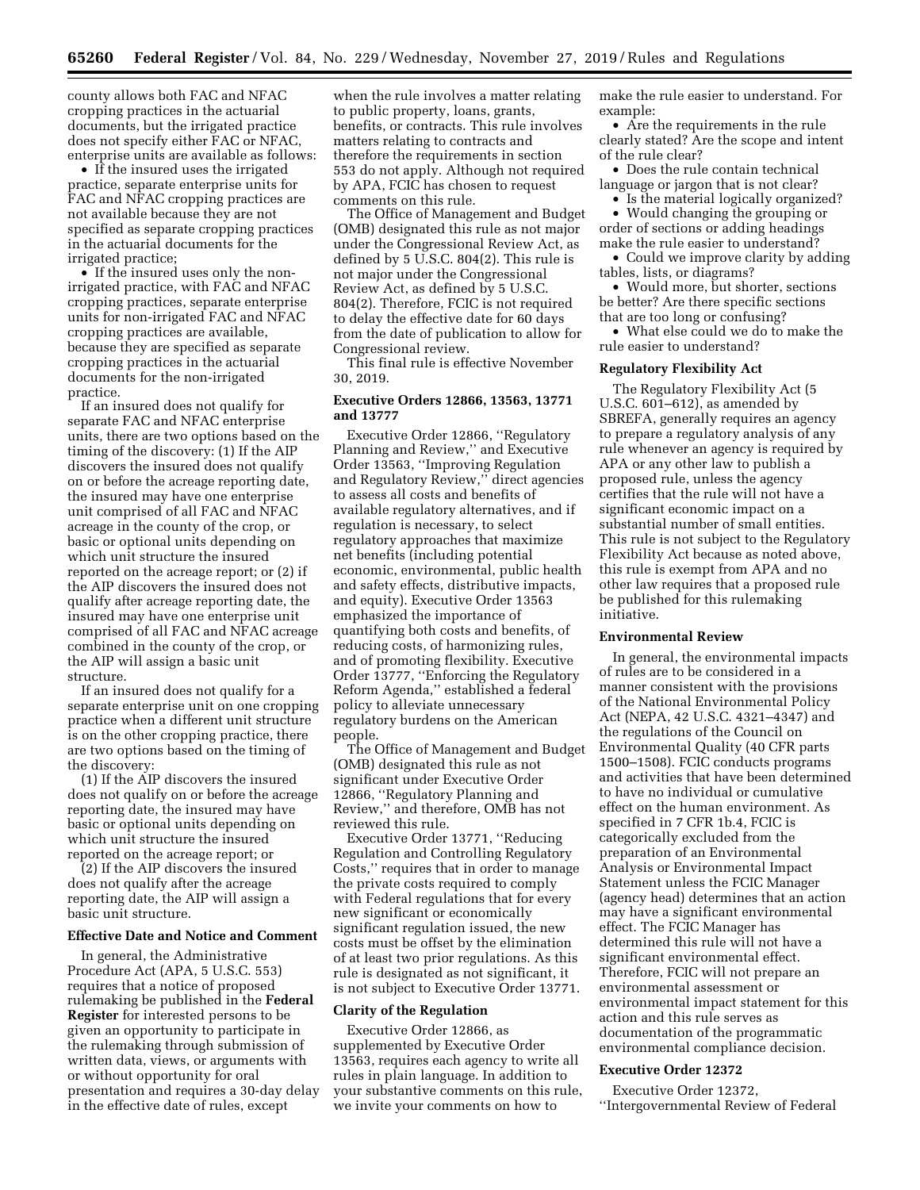county allows both FAC and NFAC cropping practices in the actuarial documents, but the irrigated practice does not specify either FAC or NFAC, enterprise units are available as follows:

• If the insured uses the irrigated practice, separate enterprise units for FAC and NFAC cropping practices are not available because they are not specified as separate cropping practices in the actuarial documents for the irrigated practice;

• If the insured uses only the nonirrigated practice, with FAC and NFAC cropping practices, separate enterprise units for non-irrigated FAC and NFAC cropping practices are available, because they are specified as separate cropping practices in the actuarial documents for the non-irrigated practice.

If an insured does not qualify for separate FAC and NFAC enterprise units, there are two options based on the timing of the discovery: (1) If the AIP discovers the insured does not qualify on or before the acreage reporting date, the insured may have one enterprise unit comprised of all FAC and NFAC acreage in the county of the crop, or basic or optional units depending on which unit structure the insured reported on the acreage report; or (2) if the AIP discovers the insured does not qualify after acreage reporting date, the insured may have one enterprise unit comprised of all FAC and NFAC acreage combined in the county of the crop, or the AIP will assign a basic unit structure.

If an insured does not qualify for a separate enterprise unit on one cropping practice when a different unit structure is on the other cropping practice, there are two options based on the timing of the discovery:

(1) If the AIP discovers the insured does not qualify on or before the acreage reporting date, the insured may have basic or optional units depending on which unit structure the insured reported on the acreage report; or

(2) If the AIP discovers the insured does not qualify after the acreage reporting date, the AIP will assign a basic unit structure.

#### **Effective Date and Notice and Comment**

In general, the Administrative Procedure Act (APA, 5 U.S.C. 553) requires that a notice of proposed rulemaking be published in the **Federal Register** for interested persons to be given an opportunity to participate in the rulemaking through submission of written data, views, or arguments with or without opportunity for oral presentation and requires a 30-day delay in the effective date of rules, except

when the rule involves a matter relating to public property, loans, grants, benefits, or contracts. This rule involves matters relating to contracts and therefore the requirements in section 553 do not apply. Although not required by APA, FCIC has chosen to request comments on this rule.

The Office of Management and Budget (OMB) designated this rule as not major under the Congressional Review Act, as defined by 5 U.S.C. 804(2). This rule is not major under the Congressional Review Act, as defined by 5 U.S.C. 804(2). Therefore, FCIC is not required to delay the effective date for 60 days from the date of publication to allow for Congressional review.

This final rule is effective November 30, 2019.

#### **Executive Orders 12866, 13563, 13771 and 13777**

Executive Order 12866, ''Regulatory Planning and Review,'' and Executive Order 13563, ''Improving Regulation and Regulatory Review,'' direct agencies to assess all costs and benefits of available regulatory alternatives, and if regulation is necessary, to select regulatory approaches that maximize net benefits (including potential economic, environmental, public health and safety effects, distributive impacts, and equity). Executive Order 13563 emphasized the importance of quantifying both costs and benefits, of reducing costs, of harmonizing rules, and of promoting flexibility. Executive Order 13777, ''Enforcing the Regulatory Reform Agenda,'' established a federal policy to alleviate unnecessary regulatory burdens on the American people.

The Office of Management and Budget (OMB) designated this rule as not significant under Executive Order 12866, ''Regulatory Planning and Review,'' and therefore, OMB has not reviewed this rule.

Executive Order 13771, ''Reducing Regulation and Controlling Regulatory Costs,'' requires that in order to manage the private costs required to comply with Federal regulations that for every new significant or economically significant regulation issued, the new costs must be offset by the elimination of at least two prior regulations. As this rule is designated as not significant, it is not subject to Executive Order 13771.

#### **Clarity of the Regulation**

Executive Order 12866, as supplemented by Executive Order 13563, requires each agency to write all rules in plain language. In addition to your substantive comments on this rule, we invite your comments on how to

make the rule easier to understand. For example:

• Are the requirements in the rule clearly stated? Are the scope and intent of the rule clear?

• Does the rule contain technical language or jargon that is not clear?

• Is the material logically organized?

• Would changing the grouping or order of sections or adding headings make the rule easier to understand?

• Could we improve clarity by adding tables, lists, or diagrams?

• Would more, but shorter, sections be better? Are there specific sections that are too long or confusing?

• What else could we do to make the rule easier to understand?

#### **Regulatory Flexibility Act**

The Regulatory Flexibility Act (5 U.S.C.  $601-612$ ), as amended by SBREFA, generally requires an agency to prepare a regulatory analysis of any rule whenever an agency is required by APA or any other law to publish a proposed rule, unless the agency certifies that the rule will not have a significant economic impact on a substantial number of small entities. This rule is not subject to the Regulatory Flexibility Act because as noted above, this rule is exempt from APA and no other law requires that a proposed rule be published for this rulemaking initiative.

#### **Environmental Review**

In general, the environmental impacts of rules are to be considered in a manner consistent with the provisions of the National Environmental Policy Act (NEPA, 42 U.S.C. 4321–4347) and the regulations of the Council on Environmental Quality (40 CFR parts 1500–1508). FCIC conducts programs and activities that have been determined to have no individual or cumulative effect on the human environment. As specified in 7 CFR 1b.4, FCIC is categorically excluded from the preparation of an Environmental Analysis or Environmental Impact Statement unless the FCIC Manager (agency head) determines that an action may have a significant environmental effect. The FCIC Manager has determined this rule will not have a significant environmental effect. Therefore, FCIC will not prepare an environmental assessment or environmental impact statement for this action and this rule serves as documentation of the programmatic environmental compliance decision.

#### **Executive Order 12372**

Executive Order 12372, ''Intergovernmental Review of Federal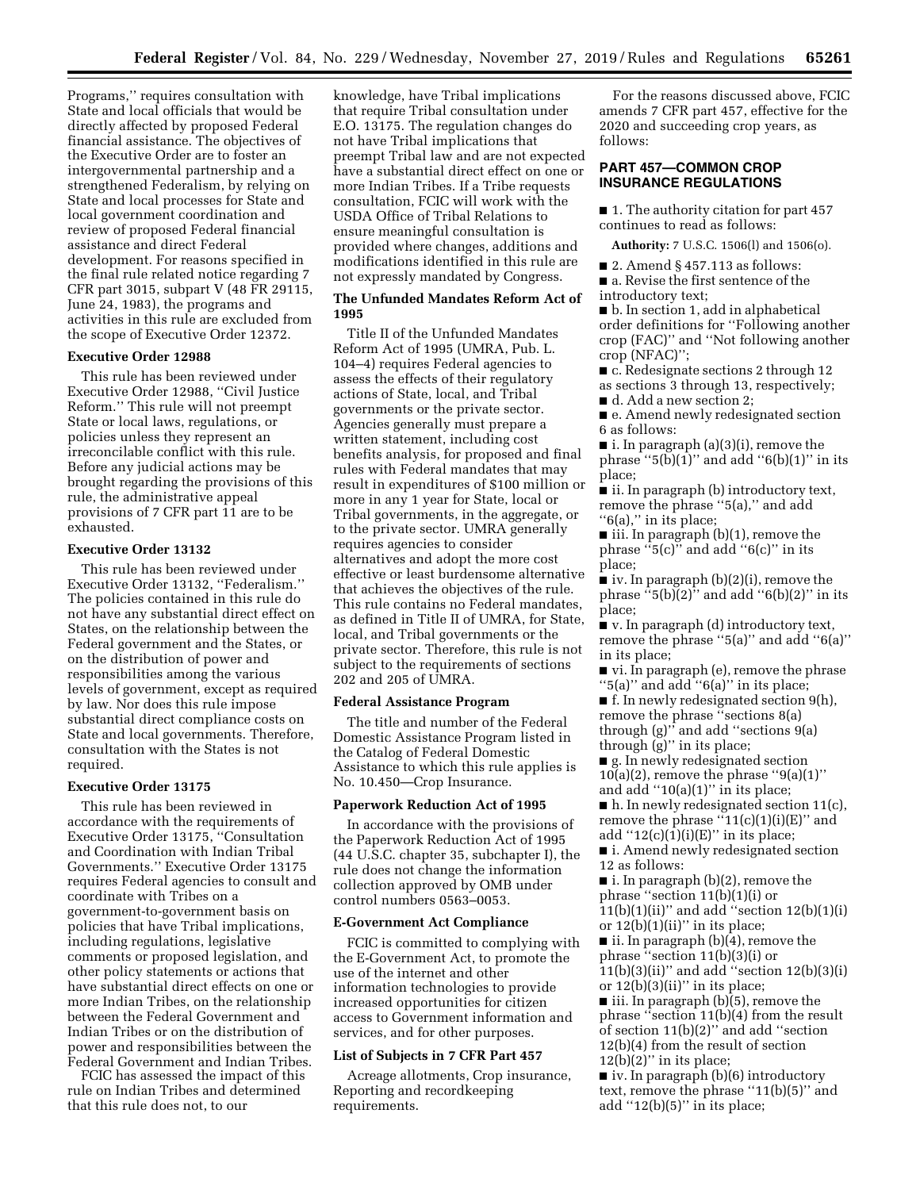Programs,'' requires consultation with State and local officials that would be directly affected by proposed Federal financial assistance. The objectives of the Executive Order are to foster an intergovernmental partnership and a strengthened Federalism, by relying on State and local processes for State and local government coordination and review of proposed Federal financial assistance and direct Federal development. For reasons specified in the final rule related notice regarding 7 CFR part 3015, subpart V (48 FR 29115, June 24, 1983), the programs and activities in this rule are excluded from the scope of Executive Order 12372.

#### **Executive Order 12988**

This rule has been reviewed under Executive Order 12988, ''Civil Justice Reform.'' This rule will not preempt State or local laws, regulations, or policies unless they represent an irreconcilable conflict with this rule. Before any judicial actions may be brought regarding the provisions of this rule, the administrative appeal provisions of 7 CFR part 11 are to be exhausted.

#### **Executive Order 13132**

This rule has been reviewed under Executive Order 13132, ''Federalism.'' The policies contained in this rule do not have any substantial direct effect on States, on the relationship between the Federal government and the States, or on the distribution of power and responsibilities among the various levels of government, except as required by law. Nor does this rule impose substantial direct compliance costs on State and local governments. Therefore, consultation with the States is not required.

# **Executive Order 13175**

This rule has been reviewed in accordance with the requirements of Executive Order 13175, ''Consultation and Coordination with Indian Tribal Governments.'' Executive Order 13175 requires Federal agencies to consult and coordinate with Tribes on a government-to-government basis on policies that have Tribal implications, including regulations, legislative comments or proposed legislation, and other policy statements or actions that have substantial direct effects on one or more Indian Tribes, on the relationship between the Federal Government and Indian Tribes or on the distribution of power and responsibilities between the Federal Government and Indian Tribes.

FCIC has assessed the impact of this rule on Indian Tribes and determined that this rule does not, to our

knowledge, have Tribal implications that require Tribal consultation under E.O. 13175. The regulation changes do not have Tribal implications that preempt Tribal law and are not expected have a substantial direct effect on one or more Indian Tribes. If a Tribe requests consultation, FCIC will work with the USDA Office of Tribal Relations to ensure meaningful consultation is provided where changes, additions and modifications identified in this rule are not expressly mandated by Congress.

#### **The Unfunded Mandates Reform Act of 1995**

Title II of the Unfunded Mandates Reform Act of 1995 (UMRA, Pub. L. 104–4) requires Federal agencies to assess the effects of their regulatory actions of State, local, and Tribal governments or the private sector. Agencies generally must prepare a written statement, including cost benefits analysis, for proposed and final rules with Federal mandates that may result in expenditures of \$100 million or more in any 1 year for State, local or Tribal governments, in the aggregate, or to the private sector. UMRA generally requires agencies to consider alternatives and adopt the more cost effective or least burdensome alternative that achieves the objectives of the rule. This rule contains no Federal mandates, as defined in Title II of UMRA, for State, local, and Tribal governments or the private sector. Therefore, this rule is not subject to the requirements of sections 202 and 205 of UMRA.

#### **Federal Assistance Program**

The title and number of the Federal Domestic Assistance Program listed in the Catalog of Federal Domestic Assistance to which this rule applies is No. 10.450—Crop Insurance.

#### **Paperwork Reduction Act of 1995**

In accordance with the provisions of the Paperwork Reduction Act of 1995 (44 U.S.C. chapter 35, subchapter I), the rule does not change the information collection approved by OMB under control numbers 0563–0053.

#### **E-Government Act Compliance**

FCIC is committed to complying with the E-Government Act, to promote the use of the internet and other information technologies to provide increased opportunities for citizen access to Government information and services, and for other purposes.

# **List of Subjects in 7 CFR Part 457**

Acreage allotments, Crop insurance, Reporting and recordkeeping requirements.

For the reasons discussed above, FCIC amends 7 CFR part 457, effective for the 2020 and succeeding crop years, as follows:

# **PART 457—COMMON CROP INSURANCE REGULATIONS**

■ 1. The authority citation for part 457 continues to read as follows:

**Authority:** 7 U.S.C. 1506(l) and 1506(o).

- 2. Amend § 457.113 as follows:
- a. Revise the first sentence of the

introductory text;

■ b. In section 1, add in alphabetical order definitions for ''Following another crop (FAC)'' and ''Not following another crop (NFAC)'';

- c. Redesignate sections 2 through 12 as sections 3 through 13, respectively;
- d. Add a new section 2;

■ e. Amend newly redesignated section 6 as follows:

■ i. In paragraph (a)(3)(i), remove the phrase " $5(b)(1)$ " and add " $6(b)(1)$ " in its place;

■ ii. In paragraph (b) introductory text, remove the phrase "5(a)," and add "6(a)," in its place;

 $\blacksquare$  iii. In paragraph (b)(1), remove the phrase " $5(c)$ " and add " $6(c)$ " in its place;

■ iv. In paragraph (b)(2)(i), remove the phrase  $\cdot$ <sup>6</sup>5(b)(2)" and add "6(b)(2)" in its place;

■ v. In paragraph (d) introductory text, remove the phrase ''5(a)'' and add ''6(a)'' in its place;

■ vi. In paragraph (e), remove the phrase ''5(a)'' and add ''6(a)'' in its place;

■ f. In newly redesignated section 9(h), remove the phrase ''sections 8(a) through (g)'' and add ''sections 9(a) through (g)'' in its place;

■ g. In newly redesignated section 10(a)(2), remove the phrase " $9(a)(1)$ " and add  $"10(a)(1)"$  in its place;

 $\blacksquare$  h. In newly redesignated section 11(c), remove the phrase " $11(c)(1)(i)(E)$ " and add " $12(c)(1)(i)(E)$ " in its place;

■ i. Amend newly redesignated section 12 as follows:

■ i. In paragraph (b)(2), remove the phrase ''section 11(b)(1)(i) or  $11(b)(1)(ii)$ " and add "section  $12(b)(1)(i)$ or  $12(b)(1)(ii)$ " in its place;

 $\blacksquare$  ii. In paragraph (b)(4), remove the phrase ''section 11(b)(3)(i) or 11(b)(3)(ii)'' and add ''section 12(b)(3)(i) or 12(b)(3)(ii)'' in its place;

■ iii. In paragraph (b)(5), remove the phrase ''section 11(b)(4) from the result of section 11(b)(2)'' and add ''section 12(b)(4) from the result of section  $12(b)(2)$ " in its place;

■ iv. In paragraph (b)(6) introductory text, remove the phrase ''11(b)(5)'' and add  $(12(b)(5))$ " in its place;